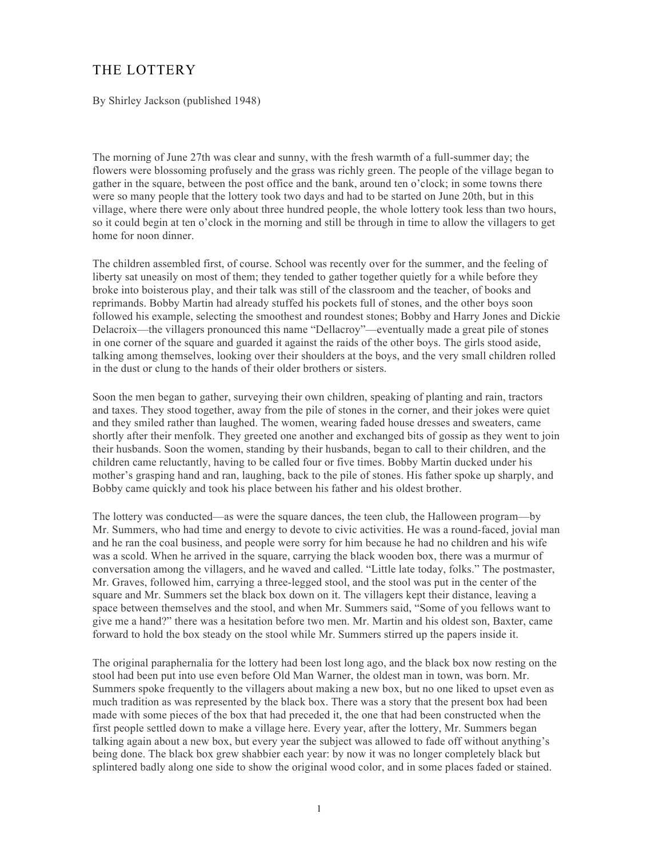## THE LOTTERY

By Shirley Jackson (published 1948)

The morning of June 27th was clear and sunny, with the fresh warmth of a full-summer day; the flowers were blossoming profusely and the grass was richly green. The people of the village began to gather in the square, between the post office and the bank, around ten o'clock; in some towns there were so many people that the lottery took two days and had to be started on June 20th, but in this village, where there were only about three hundred people, the whole lottery took less than two hours, so it could begin at ten o'clock in the morning and still be through in time to allow the villagers to get home for noon dinner.

The children assembled first, of course. School was recently over for the summer, and the feeling of liberty sat uneasily on most of them; they tended to gather together quietly for a while before they broke into boisterous play, and their talk was still of the classroom and the teacher, of books and reprimands. Bobby Martin had already stuffed his pockets full of stones, and the other boys soon followed his example, selecting the smoothest and roundest stones; Bobby and Harry Jones and Dickie Delacroix—the villagers pronounced this name "Dellacroy"—eventually made a great pile of stones in one corner of the square and guarded it against the raids of the other boys. The girls stood aside, talking among themselves, looking over their shoulders at the boys, and the very small children rolled in the dust or clung to the hands of their older brothers or sisters.

Soon the men began to gather, surveying their own children, speaking of planting and rain, tractors and taxes. They stood together, away from the pile of stones in the corner, and their jokes were quiet and they smiled rather than laughed. The women, wearing faded house dresses and sweaters, came shortly after their menfolk. They greeted one another and exchanged bits of gossip as they went to join their husbands. Soon the women, standing by their husbands, began to call to their children, and the children came reluctantly, having to be called four or five times. Bobby Martin ducked under his mother's grasping hand and ran, laughing, back to the pile of stones. His father spoke up sharply, and Bobby came quickly and took his place between his father and his oldest brother.

The lottery was conducted—as were the square dances, the teen club, the Halloween program—by Mr. Summers, who had time and energy to devote to civic activities. He was a round-faced, jovial man and he ran the coal business, and people were sorry for him because he had no children and his wife was a scold. When he arrived in the square, carrying the black wooden box, there was a murmur of conversation among the villagers, and he waved and called. "Little late today, folks." The postmaster, Mr. Graves, followed him, carrying a three-legged stool, and the stool was put in the center of the square and Mr. Summers set the black box down on it. The villagers kept their distance, leaving a space between themselves and the stool, and when Mr. Summers said, "Some of you fellows want to give me a hand?" there was a hesitation before two men. Mr. Martin and his oldest son, Baxter, came forward to hold the box steady on the stool while Mr. Summers stirred up the papers inside it.

The original paraphernalia for the lottery had been lost long ago, and the black box now resting on the stool had been put into use even before Old Man Warner, the oldest man in town, was born. Mr. Summers spoke frequently to the villagers about making a new box, but no one liked to upset even as much tradition as was represented by the black box. There was a story that the present box had been made with some pieces of the box that had preceded it, the one that had been constructed when the first people settled down to make a village here. Every year, after the lottery, Mr. Summers began talking again about a new box, but every year the subject was allowed to fade off without anything's being done. The black box grew shabbier each year: by now it was no longer completely black but splintered badly along one side to show the original wood color, and in some places faded or stained.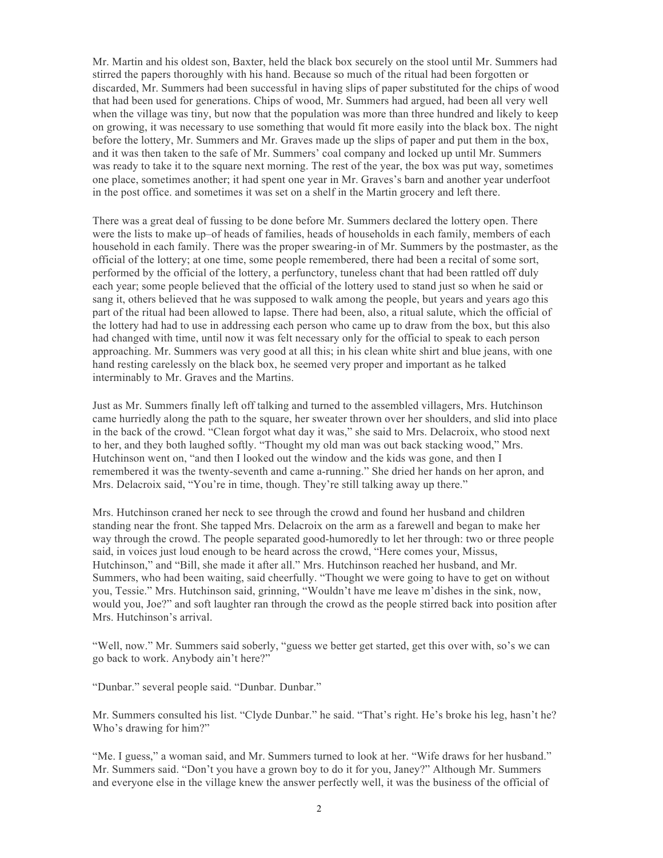Mr. Martin and his oldest son, Baxter, held the black box securely on the stool until Mr. Summers had stirred the papers thoroughly with his hand. Because so much of the ritual had been forgotten or discarded, Mr. Summers had been successful in having slips of paper substituted for the chips of wood that had been used for generations. Chips of wood, Mr. Summers had argued, had been all very well when the village was tiny, but now that the population was more than three hundred and likely to keep on growing, it was necessary to use something that would fit more easily into the black box. The night before the lottery, Mr. Summers and Mr. Graves made up the slips of paper and put them in the box, and it was then taken to the safe of Mr. Summers' coal company and locked up until Mr. Summers was ready to take it to the square next morning. The rest of the year, the box was put way, sometimes one place, sometimes another; it had spent one year in Mr. Graves's barn and another year underfoot in the post office. and sometimes it was set on a shelf in the Martin grocery and left there.

There was a great deal of fussing to be done before Mr. Summers declared the lottery open. There were the lists to make up–of heads of families, heads of households in each family, members of each household in each family. There was the proper swearing-in of Mr. Summers by the postmaster, as the official of the lottery; at one time, some people remembered, there had been a recital of some sort, performed by the official of the lottery, a perfunctory, tuneless chant that had been rattled off duly each year; some people believed that the official of the lottery used to stand just so when he said or sang it, others believed that he was supposed to walk among the people, but years and years ago this part of the ritual had been allowed to lapse. There had been, also, a ritual salute, which the official of the lottery had had to use in addressing each person who came up to draw from the box, but this also had changed with time, until now it was felt necessary only for the official to speak to each person approaching. Mr. Summers was very good at all this; in his clean white shirt and blue jeans, with one hand resting carelessly on the black box, he seemed very proper and important as he talked interminably to Mr. Graves and the Martins.

Just as Mr. Summers finally left off talking and turned to the assembled villagers, Mrs. Hutchinson came hurriedly along the path to the square, her sweater thrown over her shoulders, and slid into place in the back of the crowd. "Clean forgot what day it was," she said to Mrs. Delacroix, who stood next to her, and they both laughed softly. "Thought my old man was out back stacking wood," Mrs. Hutchinson went on, "and then I looked out the window and the kids was gone, and then I remembered it was the twenty-seventh and came a-running." She dried her hands on her apron, and Mrs. Delacroix said, "You're in time, though. They're still talking away up there."

Mrs. Hutchinson craned her neck to see through the crowd and found her husband and children standing near the front. She tapped Mrs. Delacroix on the arm as a farewell and began to make her way through the crowd. The people separated good-humoredly to let her through: two or three people said, in voices just loud enough to be heard across the crowd, "Here comes your, Missus, Hutchinson," and "Bill, she made it after all." Mrs. Hutchinson reached her husband, and Mr. Summers, who had been waiting, said cheerfully. "Thought we were going to have to get on without you, Tessie." Mrs. Hutchinson said, grinning, "Wouldn't have me leave m'dishes in the sink, now, would you, Joe?" and soft laughter ran through the crowd as the people stirred back into position after Mrs. Hutchinson's arrival.

"Well, now." Mr. Summers said soberly, "guess we better get started, get this over with, so's we can go back to work. Anybody ain't here?"

"Dunbar." several people said. "Dunbar. Dunbar."

Mr. Summers consulted his list. "Clyde Dunbar." he said. "That's right. He's broke his leg, hasn't he? Who's drawing for him?"

"Me. I guess," a woman said, and Mr. Summers turned to look at her. "Wife draws for her husband." Mr. Summers said. "Don't you have a grown boy to do it for you, Janey?" Although Mr. Summers and everyone else in the village knew the answer perfectly well, it was the business of the official of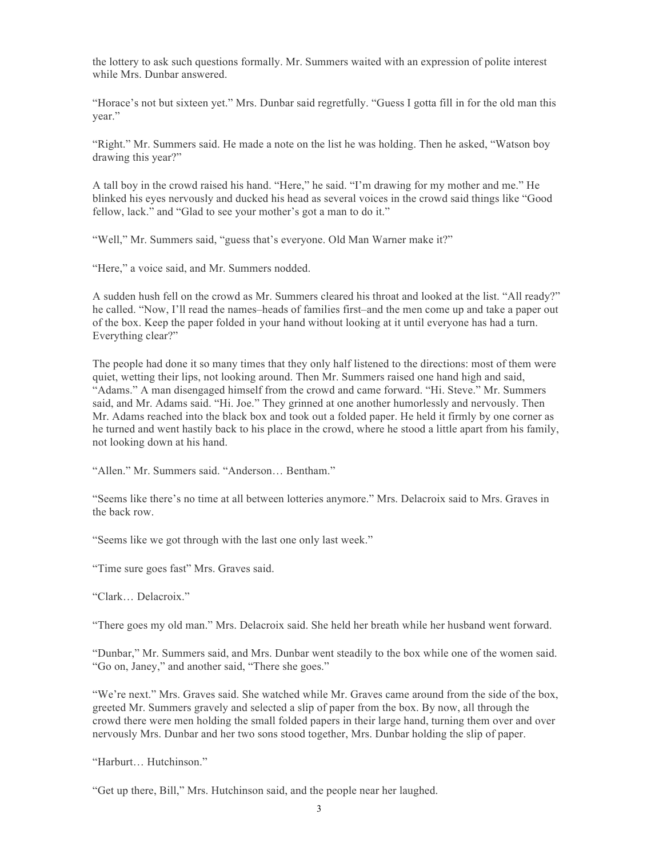the lottery to ask such questions formally. Mr. Summers waited with an expression of polite interest while Mrs. Dunbar answered.

"Horace's not but sixteen yet." Mrs. Dunbar said regretfully. "Guess I gotta fill in for the old man this year."

"Right." Mr. Summers said. He made a note on the list he was holding. Then he asked, "Watson boy drawing this year?"

A tall boy in the crowd raised his hand. "Here," he said. "I'm drawing for my mother and me." He blinked his eyes nervously and ducked his head as several voices in the crowd said things like "Good fellow, lack." and "Glad to see your mother's got a man to do it."

"Well," Mr. Summers said, "guess that's everyone. Old Man Warner make it?"

"Here," a voice said, and Mr. Summers nodded.

A sudden hush fell on the crowd as Mr. Summers cleared his throat and looked at the list. "All ready?" he called. "Now, I'll read the names–heads of families first–and the men come up and take a paper out of the box. Keep the paper folded in your hand without looking at it until everyone has had a turn. Everything clear?"

The people had done it so many times that they only half listened to the directions: most of them were quiet, wetting their lips, not looking around. Then Mr. Summers raised one hand high and said, "Adams." A man disengaged himself from the crowd and came forward. "Hi. Steve." Mr. Summers said, and Mr. Adams said. "Hi. Joe." They grinned at one another humorlessly and nervously. Then Mr. Adams reached into the black box and took out a folded paper. He held it firmly by one corner as he turned and went hastily back to his place in the crowd, where he stood a little apart from his family, not looking down at his hand.

"Allen." Mr. Summers said. "Anderson… Bentham."

"Seems like there's no time at all between lotteries anymore." Mrs. Delacroix said to Mrs. Graves in the back row.

"Seems like we got through with the last one only last week."

"Time sure goes fast" Mrs. Graves said.

"Clark… Delacroix."

"There goes my old man." Mrs. Delacroix said. She held her breath while her husband went forward.

"Dunbar," Mr. Summers said, and Mrs. Dunbar went steadily to the box while one of the women said. "Go on, Janey," and another said, "There she goes."

"We're next." Mrs. Graves said. She watched while Mr. Graves came around from the side of the box, greeted Mr. Summers gravely and selected a slip of paper from the box. By now, all through the crowd there were men holding the small folded papers in their large hand, turning them over and over nervously Mrs. Dunbar and her two sons stood together, Mrs. Dunbar holding the slip of paper.

"Harburt… Hutchinson."

"Get up there, Bill," Mrs. Hutchinson said, and the people near her laughed.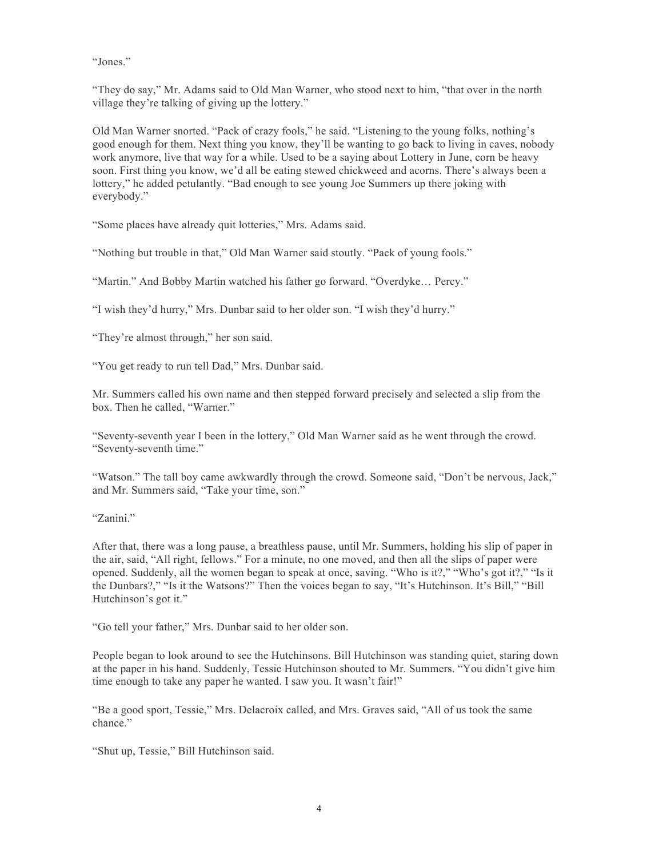"Iones"

"They do say," Mr. Adams said to Old Man Warner, who stood next to him, "that over in the north village they're talking of giving up the lottery."

Old Man Warner snorted. "Pack of crazy fools," he said. "Listening to the young folks, nothing's good enough for them. Next thing you know, they'll be wanting to go back to living in caves, nobody work anymore, live that way for a while. Used to be a saying about Lottery in June, corn be heavy soon. First thing you know, we'd all be eating stewed chickweed and acorns. There's always been a lottery," he added petulantly. "Bad enough to see young Joe Summers up there joking with everybody."

"Some places have already quit lotteries," Mrs. Adams said.

"Nothing but trouble in that," Old Man Warner said stoutly. "Pack of young fools."

"Martin." And Bobby Martin watched his father go forward. "Overdyke… Percy."

"I wish they'd hurry," Mrs. Dunbar said to her older son. "I wish they'd hurry."

"They're almost through," her son said.

"You get ready to run tell Dad," Mrs. Dunbar said.

Mr. Summers called his own name and then stepped forward precisely and selected a slip from the box. Then he called, "Warner."

"Seventy-seventh year I been in the lottery," Old Man Warner said as he went through the crowd. "Seventy-seventh time."

"Watson." The tall boy came awkwardly through the crowd. Someone said, "Don't be nervous, Jack," and Mr. Summers said, "Take your time, son."

"Zanini<sup>"</sup>

After that, there was a long pause, a breathless pause, until Mr. Summers, holding his slip of paper in the air, said, "All right, fellows." For a minute, no one moved, and then all the slips of paper were opened. Suddenly, all the women began to speak at once, saving. "Who is it?," "Who's got it?," "Is it the Dunbars?," "Is it the Watsons?" Then the voices began to say, "It's Hutchinson. It's Bill," "Bill Hutchinson's got it."

"Go tell your father," Mrs. Dunbar said to her older son.

People began to look around to see the Hutchinsons. Bill Hutchinson was standing quiet, staring down at the paper in his hand. Suddenly, Tessie Hutchinson shouted to Mr. Summers. "You didn't give him time enough to take any paper he wanted. I saw you. It wasn't fair!"

"Be a good sport, Tessie," Mrs. Delacroix called, and Mrs. Graves said, "All of us took the same chance."

"Shut up, Tessie," Bill Hutchinson said.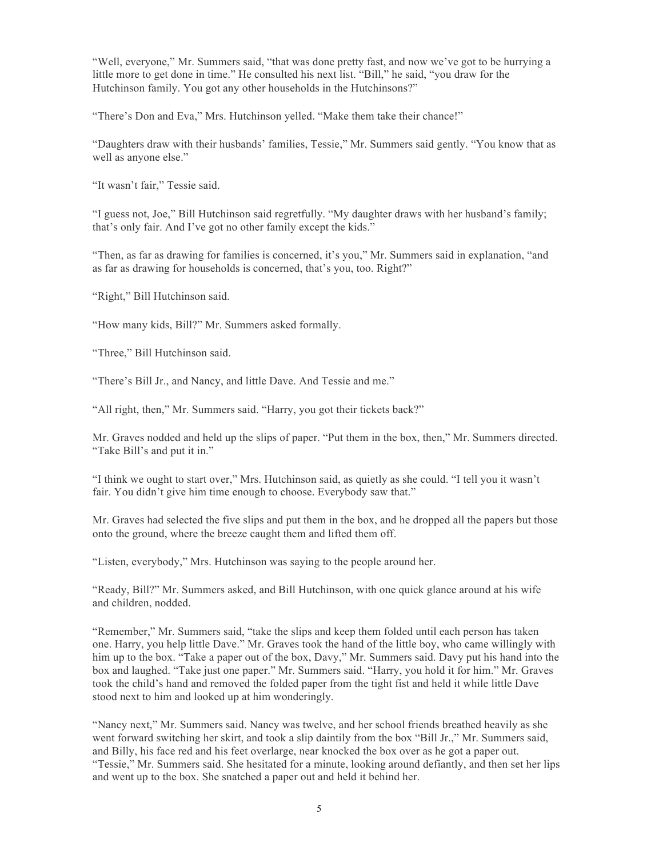"Well, everyone," Mr. Summers said, "that was done pretty fast, and now we've got to be hurrying a little more to get done in time." He consulted his next list. "Bill," he said, "you draw for the Hutchinson family. You got any other households in the Hutchinsons?"

"There's Don and Eva," Mrs. Hutchinson yelled. "Make them take their chance!"

"Daughters draw with their husbands' families, Tessie," Mr. Summers said gently. "You know that as well as anyone else."

"It wasn't fair," Tessie said.

"I guess not, Joe," Bill Hutchinson said regretfully. "My daughter draws with her husband's family; that's only fair. And I've got no other family except the kids."

"Then, as far as drawing for families is concerned, it's you," Mr. Summers said in explanation, "and as far as drawing for households is concerned, that's you, too. Right?"

"Right," Bill Hutchinson said.

"How many kids, Bill?" Mr. Summers asked formally.

"Three," Bill Hutchinson said.

"There's Bill Jr., and Nancy, and little Dave. And Tessie and me."

"All right, then," Mr. Summers said. "Harry, you got their tickets back?"

Mr. Graves nodded and held up the slips of paper. "Put them in the box, then," Mr. Summers directed. "Take Bill's and put it in."

"I think we ought to start over," Mrs. Hutchinson said, as quietly as she could. "I tell you it wasn't fair. You didn't give him time enough to choose. Everybody saw that."

Mr. Graves had selected the five slips and put them in the box, and he dropped all the papers but those onto the ground, where the breeze caught them and lifted them off.

"Listen, everybody," Mrs. Hutchinson was saying to the people around her.

"Ready, Bill?" Mr. Summers asked, and Bill Hutchinson, with one quick glance around at his wife and children, nodded.

"Remember," Mr. Summers said, "take the slips and keep them folded until each person has taken one. Harry, you help little Dave." Mr. Graves took the hand of the little boy, who came willingly with him up to the box. "Take a paper out of the box, Davy," Mr. Summers said. Davy put his hand into the box and laughed. "Take just one paper." Mr. Summers said. "Harry, you hold it for him." Mr. Graves took the child's hand and removed the folded paper from the tight fist and held it while little Dave stood next to him and looked up at him wonderingly.

"Nancy next," Mr. Summers said. Nancy was twelve, and her school friends breathed heavily as she went forward switching her skirt, and took a slip daintily from the box "Bill Jr.," Mr. Summers said, and Billy, his face red and his feet overlarge, near knocked the box over as he got a paper out. "Tessie," Mr. Summers said. She hesitated for a minute, looking around defiantly, and then set her lips and went up to the box. She snatched a paper out and held it behind her.